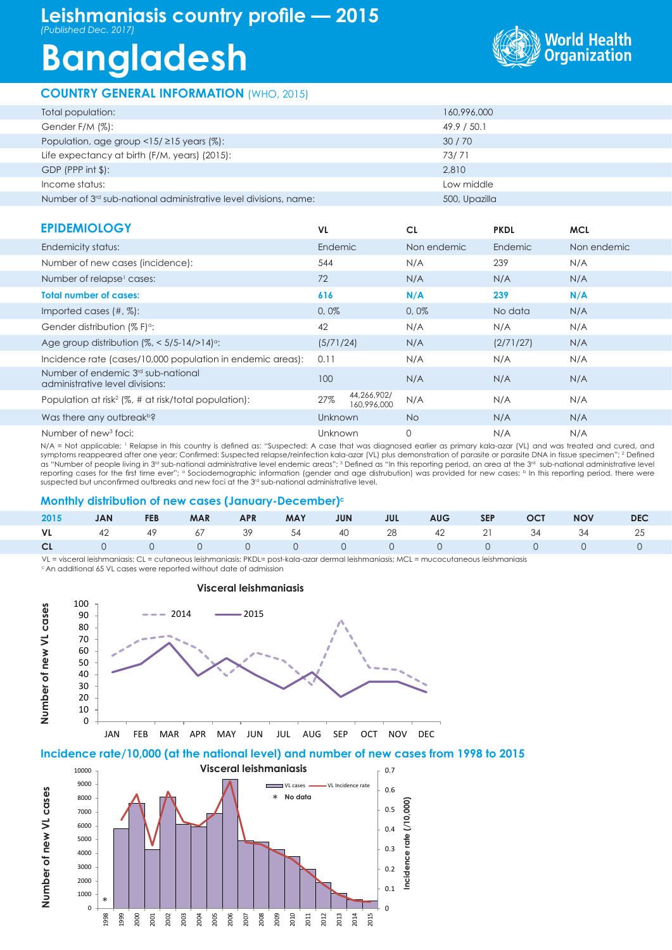## **Leishmaniasis country profile — 2015** *(Published Dec. 2017)*

# **Bangladesh**

### **COUNTRY GENERAL INFORMATION** (WHO, 2015)



| Total population:                                                            | 160,996,000   |
|------------------------------------------------------------------------------|---------------|
| Gender F/M (%):                                                              | 49.9 / 50.1   |
| Population, age group <15/ $\geq$ 15 years (%):                              | 30/70         |
| Life expectancy at birth (F/M, years) (2015):                                | 73/71         |
| $GDP$ (PPP int $$$ ):                                                        | 2,810         |
| Income status:                                                               | Low middle    |
| Number of 3 <sup>rd</sup> sub-national administrative level divisions, name: | 500, Upazilla |

| <b>EPIDEMIOLOGY</b>                                                               | <b>VL</b>                         | <b>CL</b>   | <b>PKDL</b> | <b>MCL</b>  |
|-----------------------------------------------------------------------------------|-----------------------------------|-------------|-------------|-------------|
| Endemicity status:                                                                | <b>Endemic</b>                    | Non endemic | Endemic     | Non endemic |
| Number of new cases (incidence):                                                  | 544                               | N/A         | 239         | N/A         |
| Number of relapse <sup>1</sup> cases:                                             | 72                                | N/A         | N/A         | N/A         |
| <b>Total number of cases:</b>                                                     | 616                               | N/A         | 239         | N/A         |
| Imported cases $(\#,\%)$ :                                                        | 0,0%                              | 0,0%        | No data     | N/A         |
| Gender distribution (% F) <sup>o</sup> :                                          | 42                                | N/A         | N/A         | N/A         |
| Age group distribution $\frac{1}{6}$ < 5/5-14/>14) <sup>o</sup> :                 | (5/71/24)                         | N/A         | (2/71/27)   | N/A         |
| Incidence rate (cases/10,000 population in endemic areas):                        | 0.11                              | N/A         | N/A         | N/A         |
| Number of endemic 3 <sup>rd</sup> sub-national<br>administrative level divisions: | 100                               | N/A         | N/A         | N/A         |
| Population at risk <sup>2</sup> (%, # at risk/total population):                  | 44,266,902/<br>27%<br>160,996,000 | N/A         | N/A         | N/A         |
| Was there any outbreak <sup>b?</sup>                                              | Unknown                           | <b>No</b>   | N/A         | N/A         |
| Number of new <sup>3</sup> foci:                                                  | Unknown                           | $\Omega$    | N/A         | N/A         |

N/A = Not applicable; <sup>1</sup> Relapse in this country is defined as: "Suspected: A case that was diagnosed earlier as primary kala-azar (VL) and was treated and cured, and symptoms reappeared after one year; Confirmed: Suspected relapse/reinfection kala-azar (VL) plus demonstration of parasite or parasite DNA in tissue specimen''; <sup>2</sup> Defined as "Number of people living in 3<sup>rd</sup> sub-national administrative level endemic areas"; <sup>3</sup> Defined as "In this reporting period, an area at the 3<sup>rd</sup> sub-national administrative level reporting cases for the first time ever"; <sup>a</sup> Sociodemographic information (gender and age distrubution) was provided for new cases; <sup>b</sup> In this reporting period, there were suspected but unconfirmed outbreaks and new foci at the 3<sup>rd</sup> sub-national administrative level.

#### **Monthly distribution of new cases (January-December)c**

|  |  |  |  |  | 2015 JAN FEB MAR APR MAY JUN JUL AUG SEP OCT NOV DEC |  |
|--|--|--|--|--|------------------------------------------------------|--|
|  |  |  |  |  | VL 42 49 67 39 54 40 28 42 21 34 34 25               |  |
|  |  |  |  |  |                                                      |  |

VL = visceral leishmaniasis; CL = cutaneous leishmaniasis; PKDL= post-kala-azar dermal leishmaniasis; MCL = mucocutaneous leishmaniasis

<sup>c</sup> An additional 65 VL cases were reported without date of admission



#### **Visceral leishmaniasis**